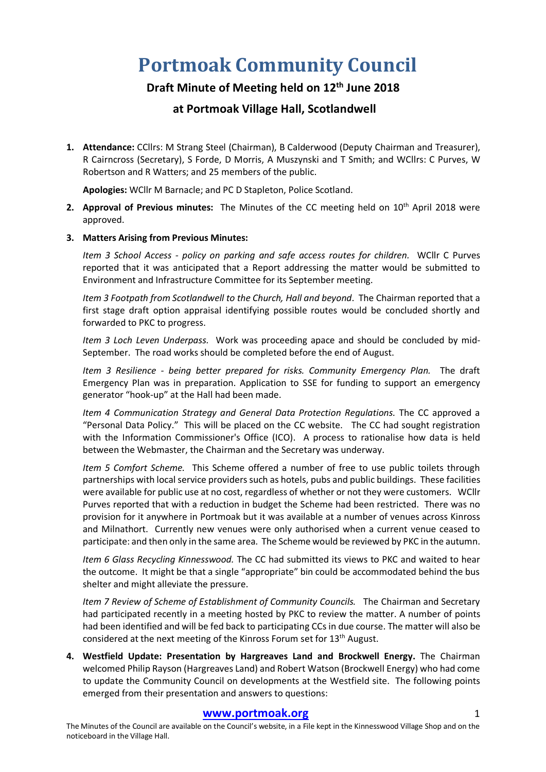# **Portmoak Community Council**

# **Draft Minute of Meeting held on 12th June 2018**

# **at Portmoak Village Hall, Scotlandwell**

**1. Attendance:** CCllrs: M Strang Steel (Chairman), B Calderwood (Deputy Chairman and Treasurer), R Cairncross (Secretary), S Forde, D Morris, A Muszynski and T Smith; and WCllrs: C Purves, W Robertson and R Watters; and 25 members of the public.

**Apologies:** WCllr M Barnacle; and PC D Stapleton, Police Scotland.

**2. Approval of Previous minutes:** The Minutes of the CC meeting held on 10<sup>th</sup> April 2018 were approved.

# **3. Matters Arising from Previous Minutes:**

*Item 3 School Access - policy on parking and safe access routes for children.* WCllr C Purves reported that it was anticipated that a Report addressing the matter would be submitted to Environment and Infrastructure Committee for its September meeting.

*Item 3 Footpath from Scotlandwell to the Church, Hall and beyond*. The Chairman reported that a first stage draft option appraisal identifying possible routes would be concluded shortly and forwarded to PKC to progress.

*Item 3 Loch Leven Underpass.* Work was proceeding apace and should be concluded by mid-September. The road works should be completed before the end of August.

*Item 3 Resilience - being better prepared for risks. Community Emergency Plan.* The draft Emergency Plan was in preparation. Application to SSE for funding to support an emergency generator "hook-up" at the Hall had been made.

*Item 4 Communication Strategy and General Data Protection Regulations.* The CC approved a "Personal Data Policy." This will be placed on the CC website. The CC had sought registration with the Information Commissioner's Office (ICO). A process to rationalise how data is held between the Webmaster, the Chairman and the Secretary was underway.

*Item 5 Comfort Scheme.* This Scheme offered a number of free to use public toilets through partnerships with local service providers such as hotels, pubs and public buildings. These facilities were available for public use at no cost, regardless of whether or not they were customers. WCllr Purves reported that with a reduction in budget the Scheme had been restricted. There was no provision for it anywhere in Portmoak but it was available at a number of venues across Kinross and Milnathort. Currently new venues were only authorised when a current venue ceased to participate: and then only in the same area. The Scheme would be reviewed by PKC in the autumn.

*Item 6 Glass Recycling Kinnesswood.* The CC had submitted its views to PKC and waited to hear the outcome. It might be that a single "appropriate" bin could be accommodated behind the bus shelter and might alleviate the pressure.

*Item 7 Review of Scheme of Establishment of Community Councils.* The Chairman and Secretary had participated recently in a meeting hosted by PKC to review the matter. A number of points had been identified and will be fed back to participating CCs in due course. The matter will also be considered at the next meeting of the Kinross Forum set for 13<sup>th</sup> August.

**4. Westfield Update: Presentation by Hargreaves Land and Brockwell Energy.** The Chairman welcomed Philip Rayson (Hargreaves Land) and Robert Watson (Brockwell Energy) who had come to update the Community Council on developments at the Westfield site. The following points emerged from their presentation and answers to questions:

# **www.portmoak.org** 1

The Minutes of the Council are available on the Council's website, in a File kept in the Kinnesswood Village Shop and on the noticeboard in the Village Hall.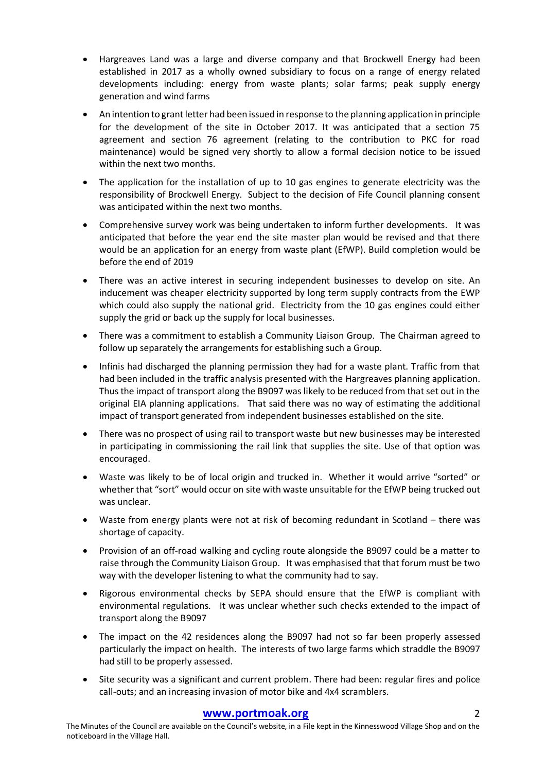- Hargreaves Land was a large and diverse company and that Brockwell Energy had been established in 2017 as a wholly owned subsidiary to focus on a range of energy related developments including: energy from waste plants; solar farms; peak supply energy generation and wind farms
- An intention to grant letter had been issued in response to the planning application in principle for the development of the site in October 2017. It was anticipated that a section 75 agreement and section 76 agreement (relating to the contribution to PKC for road maintenance) would be signed very shortly to allow a formal decision notice to be issued within the next two months.
- The application for the installation of up to 10 gas engines to generate electricity was the responsibility of Brockwell Energy. Subject to the decision of Fife Council planning consent was anticipated within the next two months.
- Comprehensive survey work was being undertaken to inform further developments. It was anticipated that before the year end the site master plan would be revised and that there would be an application for an energy from waste plant (EfWP). Build completion would be before the end of 2019
- There was an active interest in securing independent businesses to develop on site. An inducement was cheaper electricity supported by long term supply contracts from the EWP which could also supply the national grid. Electricity from the 10 gas engines could either supply the grid or back up the supply for local businesses.
- There was a commitment to establish a Community Liaison Group. The Chairman agreed to follow up separately the arrangements for establishing such a Group.
- Infinis had discharged the planning permission they had for a waste plant. Traffic from that had been included in the traffic analysis presented with the Hargreaves planning application. Thus the impact of transport along the B9097 was likely to be reduced from that set out in the original EIA planning applications. That said there was no way of estimating the additional impact of transport generated from independent businesses established on the site.
- There was no prospect of using rail to transport waste but new businesses may be interested in participating in commissioning the rail link that supplies the site. Use of that option was encouraged.
- Waste was likely to be of local origin and trucked in. Whether it would arrive "sorted" or whether that "sort" would occur on site with waste unsuitable for the EfWP being trucked out was unclear.
- Waste from energy plants were not at risk of becoming redundant in Scotland there was shortage of capacity.
- Provision of an off-road walking and cycling route alongside the B9097 could be a matter to raise through the Community Liaison Group. It was emphasised that that forum must be two way with the developer listening to what the community had to say.
- Rigorous environmental checks by SEPA should ensure that the EfWP is compliant with environmental regulations. It was unclear whether such checks extended to the impact of transport along the B9097
- The impact on the 42 residences along the B9097 had not so far been properly assessed particularly the impact on health. The interests of two large farms which straddle the B9097 had still to be properly assessed.
- Site security was a significant and current problem. There had been: regular fires and police call-outs; and an increasing invasion of motor bike and 4x4 scramblers.

# **www.portmoak.org** 2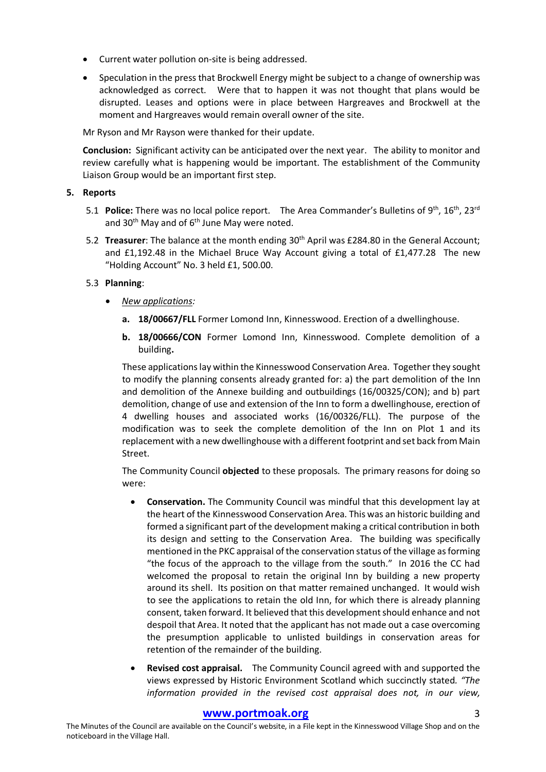- Current water pollution on-site is being addressed.
- Speculation in the press that Brockwell Energy might be subject to a change of ownership was acknowledged as correct. Were that to happen it was not thought that plans would be disrupted. Leases and options were in place between Hargreaves and Brockwell at the moment and Hargreaves would remain overall owner of the site.

Mr Ryson and Mr Rayson were thanked for their update.

**Conclusion:** Significant activity can be anticipated over the next year. The ability to monitor and review carefully what is happening would be important. The establishment of the Community Liaison Group would be an important first step.

## **5. Reports**

- 5.1 **Police:** There was no local police report. The Area Commander's Bulletins of 9<sup>th</sup>, 16<sup>th</sup>, 23<sup>rd</sup> and  $30<sup>th</sup>$  May and of  $6<sup>th</sup>$  June May were noted.
- 5.2 **Treasurer**: The balance at the month ending 30<sup>th</sup> April was £284.80 in the General Account; and £1,192.48 in the Michael Bruce Way Account giving a total of £1,477.28 The new "Holding Account" No. 3 held £1, 500.00.

# 5.3 **Planning**:

- *New applications:*
	- **a. 18/00667/FLL** Former Lomond Inn, Kinnesswood. Erection of a dwellinghouse.
	- **b. 18/00666/CON** Former Lomond Inn, Kinnesswood. Complete demolition of a building**.**

These applications lay within the Kinnesswood Conservation Area. Together they sought to modify the planning consents already granted for: a) the part demolition of the Inn and demolition of the Annexe building and outbuildings (16/00325/CON); and b) part demolition, change of use and extension of the Inn to form a dwellinghouse, erection of 4 dwelling houses and associated works (16/00326/FLL). The purpose of the modification was to seek the complete demolition of the Inn on Plot 1 and its replacement with a new dwellinghouse with a different footprint and set back from Main Street.

The Community Council **objected** to these proposals. The primary reasons for doing so were:

- **Conservation.** The Community Council was mindful that this development lay at the heart of the Kinnesswood Conservation Area. This was an historic building and formed a significant part of the development making a critical contribution in both its design and setting to the Conservation Area. The building was specifically mentioned in the PKC appraisal of the conservation status of the village as forming "the focus of the approach to the village from the south." In 2016 the CC had welcomed the proposal to retain the original Inn by building a new property around its shell. Its position on that matter remained unchanged. It would wish to see the applications to retain the old Inn, for which there is already planning consent, taken forward. It believed that this development should enhance and not despoil that Area. It noted that the applicant has not made out a case overcoming the presumption applicable to unlisted buildings in conservation areas for retention of the remainder of the building.
- **Revised cost appraisal.** The Community Council agreed with and supported the views expressed by Historic Environment Scotland which succinctly stated*. "The information provided in the revised cost appraisal does not, in our view,*

# **www.portmoak.org** 3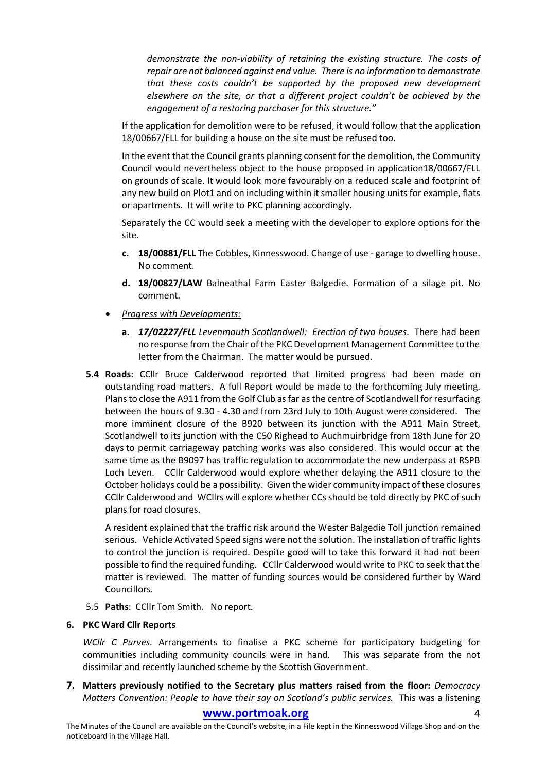*demonstrate the non-viability of retaining the existing structure. The costs of repair are not balanced against end value. There is no information to demonstrate that these costs couldn't be supported by the proposed new development elsewhere on the site, or that a different project couldn't be achieved by the engagement of a restoring purchaser for this structure."*

If the application for demolition were to be refused, it would follow that the application 18/00667/FLL for building a house on the site must be refused too.

In the event that the Council grants planning consent for the demolition, the Community Council would nevertheless object to the house proposed in application18/00667/FLL on grounds of scale. It would look more favourably on a reduced scale and footprint of any new build on Plot1 and on including within it smaller housing units for example, flats or apartments. It will write to PKC planning accordingly.

Separately the CC would seek a meeting with the developer to explore options for the site.

- **c. 18/00881/FLL** The Cobbles, Kinnesswood. Change of use garage to dwelling house. No comment.
- **d. 18/00827/LAW** Balneathal Farm Easter Balgedie. Formation of a silage pit. No comment.
- *Progress with Developments:*
	- **a.** *17/02227/FLL Levenmouth Scotlandwell: Erection of two houses*. There had been no response from the Chair of the PKC Development Management Committee to the letter from the Chairman. The matter would be pursued.
- **5.4 Roads:** CCllr Bruce Calderwood reported that limited progress had been made on outstanding road matters. A full Report would be made to the forthcoming July meeting. Plans to close the A911 from the Golf Club as far as the centre of Scotlandwell for resurfacing between the hours of 9.30 - 4.30 and from 23rd July to 10th August were considered. The more imminent closure of the B920 between its junction with the A911 Main Street, Scotlandwell to its junction with the C50 Righead to Auchmuirbridge from 18th June for 20 days to permit carriageway patching works was also considered. This would occur at the same time as the B9097 has traffic regulation to accommodate the new underpass at RSPB Loch Leven. CCllr Calderwood would explore whether delaying the A911 closure to the October holidays could be a possibility. Given the wider community impact of these closures CCllr Calderwood and WCllrs will explore whether CCs should be told directly by PKC of such plans for road closures.

A resident explained that the traffic risk around the Wester Balgedie Toll junction remained serious. Vehicle Activated Speed signs were not the solution. The installation of traffic lights to control the junction is required. Despite good will to take this forward it had not been possible to find the required funding. CCllr Calderwood would write to PKC to seek that the matter is reviewed. The matter of funding sources would be considered further by Ward Councillors.

5.5 **Paths**: CCllr Tom Smith. No report.

# **6. PKC Ward Cllr Reports**

*WCllr C Purves.* Arrangements to finalise a PKC scheme for participatory budgeting for communities including community councils were in hand. This was separate from the not dissimilar and recently launched scheme by the Scottish Government.

**7. Matters previously notified to the Secretary plus matters raised from the floor:** *Democracy Matters Convention: People to have their say on Scotland's public services.* This was a listening

# www.portmoak.org

The Minutes of the Council are available on the Council's website, in a File kept in the Kinnesswood Village Shop and on the noticeboard in the Village Hall.